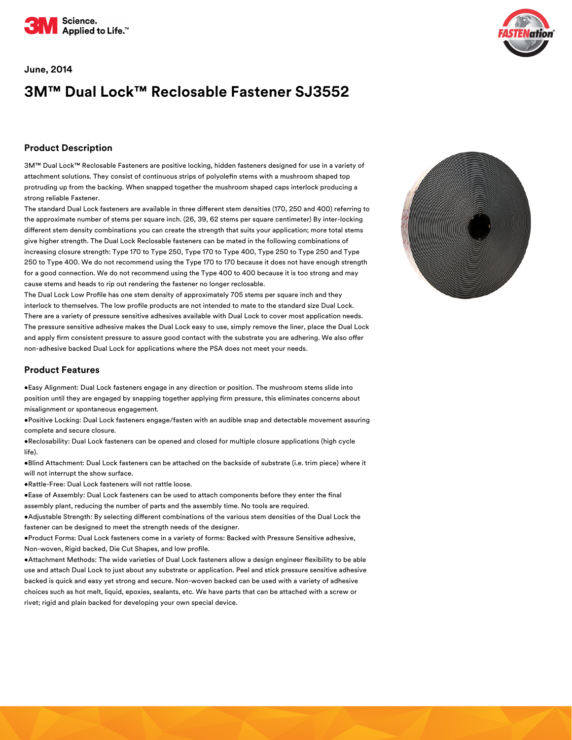

#### **June, 2014**

# **3M™ Dual Lock™ Reclosable Fastener SJ3552**

### **Product Description**

3M™ Dual Lock™ Reclosable Fasteners are positive locking, hidden fasteners designed for use in a variety of attachment solutions. They consist of continuous strips of polyolefin stems with a mushroom shaped top protruding up from the backing. When snapped together the mushroom shaped caps interlock producing a strong reliable Fastener.

The standard Dual Lock fasteners are available in three different stem densities (170, 250 and 400) referring to the approximate number of stems per square inch. (26, 39, 62 stems per square centimeter) By inter-locking different stem density combinations you can create the strength that suits your application; more total stems give higher strength. The Dual Lock Reclosable fasteners can be mated in the following combinations of increasing closure strength: Type 170 to Type 250, Type 170 to Type 400, Type 250 to Type 250 and Type 250 to Type 400. We do not recommend using the Type 170 to 170 because it does not have enough strength for a good connection. We do not recommend using the Type 400 to 400 because it is too strong and may cause stems and heads to rip out rendering the fastener no longer reclosable.

The Dual Lock Low Profile has one stem density of approximately 705 stems per square inch and they interlock to themselves. The low profile products are not intended to mate to the standard size Dual Lock. There are a variety of pressure sensitive adhesives available with Dual Lock to cover most application needs. The pressure sensitive adhesive makes the Dual Lock easy to use, simply remove the liner, place the Dual Lock and apply firm consistent pressure to assure good contact with the substrate you are adhering. We also offer non-adhesive backed Dual Lock for applications where the PSA does not meet your needs.

#### **Product Features**

•Easy Alignment: Dual Lock fasteners engage in any direction or position. The mushroom stems slide into position until they are engaged by snapping together applying firm pressure, this eliminates concerns about misalignment or spontaneous engagement.

•Positive Locking: Dual Lock fasteners engage/fasten with an audible snap and detectable movement assuring complete and secure closure.

•Reclosability: Dual Lock fasteners can be opened and closed for multiple closure applications (high cycle life).

•Blind Attachment: Dual Lock fasteners can be attached on the backside of substrate (i.e. trim piece) where it will not interrupt the show surface.

•Rattle-Free: Dual Lock fasteners will not rattle loose.

•Ease of Assembly: Dual Lock fasteners can be used to attach components before they enter the final assembly plant, reducing the number of parts and the assembly time. No tools are required.

•Adjustable Strength: By selecting different combinations of the various stem densities of the Dual Lock the fastener can be designed to meet the strength needs of the designer.

•Product Forms: Dual Lock fasteners come in a variety of forms: Backed with Pressure Sensitive adhesive, Non-woven, Rigid backed, Die Cut Shapes, and low profile.

. Attachment Methods: The wide varieties of Dual Lock fasteners allow a design engineer flexibility to be able use and attach Dual Lock to just about any substrate or application. Peel and stick pressure sensitive adhesive backed is quick and easy yet strong and secure. Non-woven backed can be used with a variety of adhesive choices such as hot melt, liquid, epoxies, sealants, etc. We have parts that can be attached with a screw or rivet; rigid and plain backed for developing your own special device.



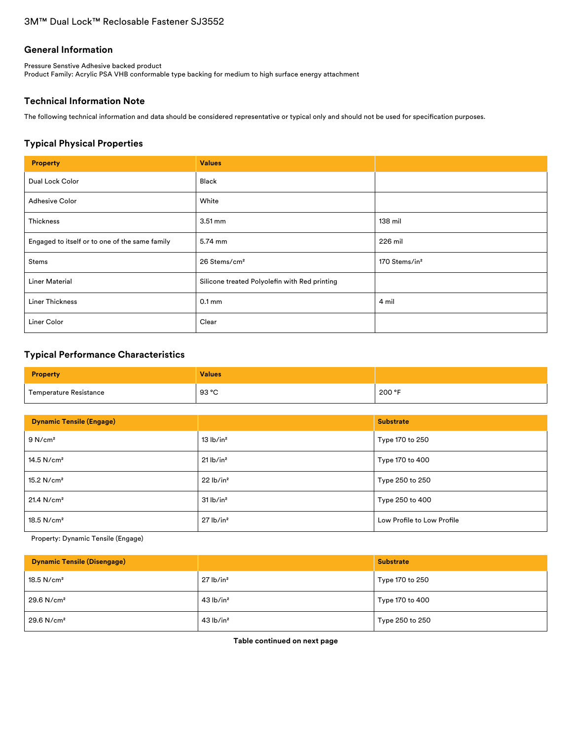### **General Information**

Pressure Senstive Adhesive backed product Product Family: Acrylic PSA VHB conformable type backing for medium to high surface energy attachment

# **Technical Information Note**

The following technical information and data should be considered representative or typical only and should not be used for specification purposes.

# **Typical Physical Properties**

| <b>Property</b>                                | <b>Values</b>                                 |                           |
|------------------------------------------------|-----------------------------------------------|---------------------------|
| Dual Lock Color                                | Black                                         |                           |
| <b>Adhesive Color</b>                          | White                                         |                           |
| Thickness                                      | $3.51 \text{ mm}$                             | 138 mil                   |
| Engaged to itself or to one of the same family | 5.74 mm                                       | 226 mil                   |
| Stems                                          | 26 Stems/cm <sup>2</sup>                      | 170 Stems/in <sup>2</sup> |
| <b>Liner Material</b>                          | Silicone treated Polyolefin with Red printing |                           |
| <b>Liner Thickness</b>                         | 0.1 <sub>mm</sub>                             | 4 mil                     |
| Liner Color                                    | Clear                                         |                           |

# **Typical Performance Characteristics**

| <b>Property</b>        | <b>Values</b> |        |
|------------------------|---------------|--------|
| Temperature Resistance | 93 °C         | 200 °F |

| <b>Dynamic Tensile (Engage)</b> |                         | <b>Substrate</b>           |  |
|---------------------------------|-------------------------|----------------------------|--|
| 9 N/cm <sup>2</sup>             | 13 lb/in <sup>2</sup>   | Type 170 to 250            |  |
| $14.5$ N/cm <sup>2</sup>        | $21$ lb/in <sup>2</sup> | Type 170 to 400            |  |
| 15.2 $N/cm2$                    | 22 lb/in <sup>2</sup>   | Type 250 to 250            |  |
| 21.4 N/cm <sup>2</sup>          | 31 lb/in <sup>2</sup>   | Type 250 to 400            |  |
| $18.5$ N/cm <sup>2</sup>        | $27$ lb/in <sup>2</sup> | Low Profile to Low Profile |  |

Property: Dynamic Tensile (Engage)

| <b>Dynamic Tensile (Disengage)</b> |                         | <b>Substrate</b> |
|------------------------------------|-------------------------|------------------|
| $18.5$ N/cm <sup>2</sup>           | $27$ lb/in <sup>2</sup> | Type 170 to 250  |
| 29.6 N/cm <sup>2</sup>             | $43$ lb/in <sup>2</sup> | Type 170 to 400  |
| $29.6$ N/cm <sup>2</sup>           | $43$ lb/in <sup>2</sup> | Type 250 to 250  |

**Table continued on next page**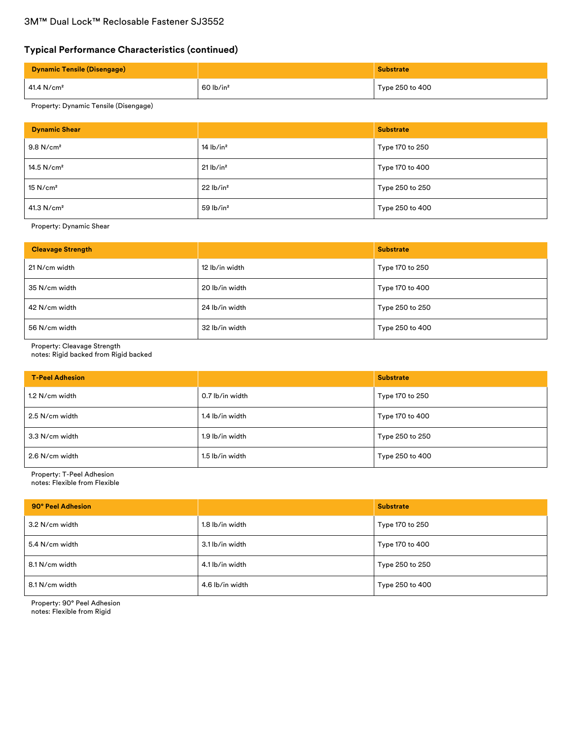# **Typical Performance Characteristics (continued)**

| <b>Dynamic Tensile (Disengage)</b> |                         | <b>Substrate</b> |
|------------------------------------|-------------------------|------------------|
| 41.4 N/cm <sup>2</sup>             | $60$ lb/in <sup>2</sup> | Type 250 to 400  |

# Property: Dynamic Tensile (Disengage)

| <b>Dynamic Shear</b>    |                         | <b>Substrate</b> |
|-------------------------|-------------------------|------------------|
| $9.8$ N/cm <sup>2</sup> | $14$ lb/in <sup>2</sup> | Type 170 to 250  |
| 14.5 $N/cm2$            | $21$ lb/in <sup>2</sup> | Type 170 to 400  |
| $15$ N/cm <sup>2</sup>  | 22 lb/in <sup>2</sup>   | Type 250 to 250  |
| 41.3 N/cm <sup>2</sup>  | $59$ lb/in <sup>2</sup> | Type 250 to 400  |

Property: Dynamic Shear

| <b>Cleavage Strength</b> |                | <b>Substrate</b> |
|--------------------------|----------------|------------------|
| 21 N/cm width            | 12 lb/in width | Type 170 to 250  |
| 35 N/cm width            | 20 lb/in width | Type 170 to 400  |
| 42 N/cm width            | 24 lb/in width | Type 250 to 250  |
| 56 N/cm width            | 32 lb/in width | Type 250 to 400  |

Property: Cleavage Strength

notes: Rigid backed from Rigid backed

| <b>T-Peel Adhesion</b> |                 | <b>Substrate</b> |
|------------------------|-----------------|------------------|
| 1.2 N/cm width         | 0.7 lb/in width | Type 170 to 250  |
| 2.5 N/cm width         | 1.4 lb/in width | Type 170 to 400  |
| 3.3 N/cm width         | 1.9 lb/in width | Type 250 to 250  |
| 2.6 N/cm width         | 1.5 lb/in width | Type 250 to 400  |

Property: T-Peel Adhesion notes: Flexible from Flexible

| 90° Peel Adhesion |                 | <b>Substrate</b> |
|-------------------|-----------------|------------------|
| 3.2 N/cm width    | 1.8 lb/in width | Type 170 to 250  |
| 5.4 N/cm width    | 3.1 lb/in width | Type 170 to 400  |
| 8.1 N/cm width    | 4.1 lb/in width | Type 250 to 250  |
| 8.1 N/cm width    | 4.6 lb/in width | Type 250 to 400  |

Property: 90° Peel Adhesion notes: Flexible from Rigid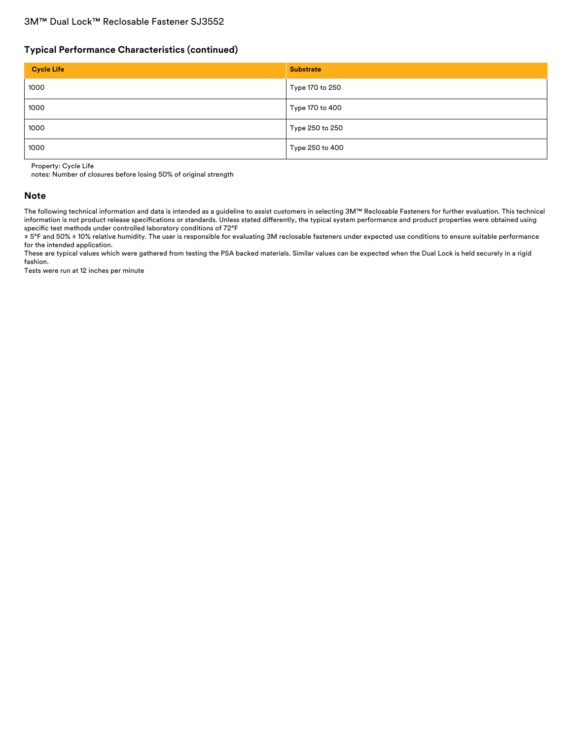### **Typical Performance Characteristics (continued)**

| <b>Cycle Life</b> | <b>Substrate</b> |
|-------------------|------------------|
| 1000              | Type 170 to 250  |
| 1000              | Type 170 to 400  |
| 1000              | Type 250 to 250  |
| 1000              | Type 250 to 400  |

Property: Cycle Life

notes: Number of closures before losing 50% of original strength

#### **Note**

The following technical information and data is intended as a guideline to assist customers in selecting 3M™ Reclosable Fasteners for further evaluation. This technical information is not product release specifications or standards. Unless stated differently, the typical system performance and product properties were obtained using specific test methods under controlled laboratory conditions of 72°F

± 5°F and 50% ± 10% relative humidity. The user is responsible for evaluating 3M reclosable fasteners under expected use conditions to ensure suitable performance for the intended application.

These are typical values which were gathered from testing the PSA backed materials. Similar values can be expected when the Dual Lock is held securely in a rigid fashion.

Tests were run at 12 inches per minute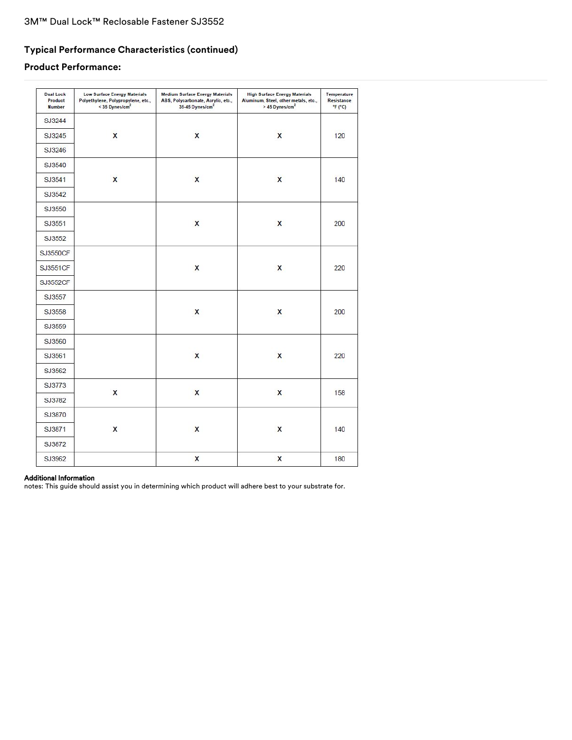# **Typical Performance Characteristics (continued)**

# **Product Performance:**

| <b>Dual Lock</b><br>Product<br><b>Number</b> | <b>Low Surface Energy Materials</b><br>Polyethylene, Polypropylene, etc.,<br>< 35 Dynes/cm <sup>2</sup> | <b>Medium Surface Energy Materials</b><br>ABS, Polycarbonate, Acrylic, etc.,<br>35-45 Dynes/cm <sup>2</sup> | <b>High Surface Energy Materials</b><br>Aluminum, Steel, other metals, etc.,<br>> 45 Dynes/cm <sup>2</sup> | Temperature<br>Resistance<br>F(T) |
|----------------------------------------------|---------------------------------------------------------------------------------------------------------|-------------------------------------------------------------------------------------------------------------|------------------------------------------------------------------------------------------------------------|-----------------------------------|
| SJ3244                                       |                                                                                                         |                                                                                                             |                                                                                                            |                                   |
| SJ3245                                       | X                                                                                                       | $\mathsf{x}$                                                                                                | $\mathsf{x}$                                                                                               | 120                               |
| SJ3246                                       |                                                                                                         |                                                                                                             |                                                                                                            |                                   |
| SJ3540                                       |                                                                                                         |                                                                                                             |                                                                                                            |                                   |
| SJ3541                                       | $\mathbf{x}$                                                                                            | $\overline{\mathsf{x}}$                                                                                     | $\overline{\mathbf{x}}$                                                                                    | 140                               |
| SJ3542                                       |                                                                                                         |                                                                                                             |                                                                                                            |                                   |
| SJ3550                                       |                                                                                                         |                                                                                                             |                                                                                                            |                                   |
| SJ3551                                       |                                                                                                         | $\boldsymbol{\mathsf{x}}$                                                                                   | X                                                                                                          | 200                               |
| SJ3552                                       |                                                                                                         |                                                                                                             |                                                                                                            |                                   |
| <b>SJ3550CF</b>                              |                                                                                                         |                                                                                                             |                                                                                                            |                                   |
| <b>SJ3551CF</b>                              |                                                                                                         | X                                                                                                           | X                                                                                                          | 220                               |
| SJ3552CF                                     |                                                                                                         |                                                                                                             |                                                                                                            |                                   |
| SJ3557                                       |                                                                                                         |                                                                                                             |                                                                                                            |                                   |
| SJ3558                                       |                                                                                                         | X                                                                                                           | X                                                                                                          | 200                               |
| SJ3559                                       |                                                                                                         |                                                                                                             |                                                                                                            |                                   |
| SJ3560                                       |                                                                                                         |                                                                                                             |                                                                                                            |                                   |
| SJ3561                                       |                                                                                                         | $\mathsf{x}$                                                                                                | X                                                                                                          | 220                               |
| SJ3562                                       |                                                                                                         |                                                                                                             |                                                                                                            |                                   |
| SJ3773                                       |                                                                                                         |                                                                                                             |                                                                                                            |                                   |
| SJ3782                                       | X                                                                                                       | $\mathsf{x}$                                                                                                | X                                                                                                          | 158                               |
| SJ3870                                       |                                                                                                         |                                                                                                             |                                                                                                            |                                   |
| SJ3871                                       | X                                                                                                       | $\mathsf{x}$                                                                                                | X                                                                                                          | 140                               |
| SJ3872                                       |                                                                                                         |                                                                                                             |                                                                                                            |                                   |
| SJ3962                                       |                                                                                                         | X                                                                                                           | X                                                                                                          | 180                               |

### Additional Information

notes: This guide should assist you in determining which product will adhere best to your substrate for.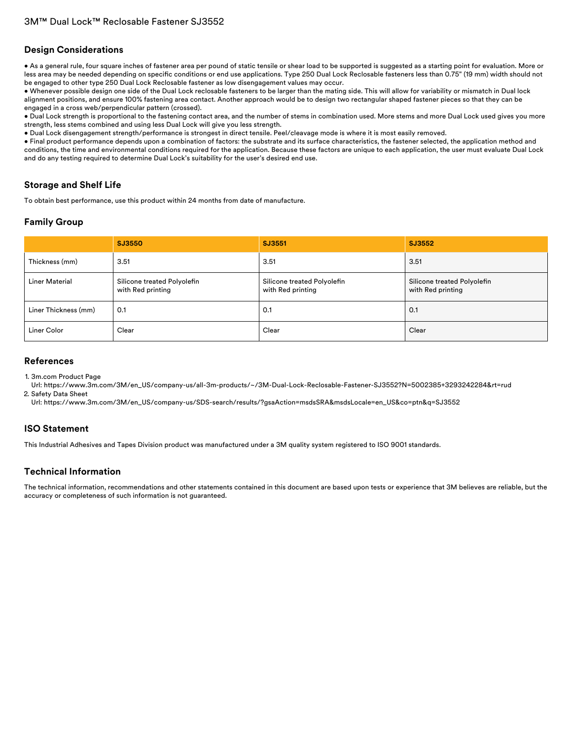### **Design Considerations**

• As a general rule, four square inches of fastener area per pound of static tensile or shear load to be supported is suggested as a starting point for evaluation. More or less area may be needed depending on specific conditions or end use applications. Type 250 Dual Lock Reclosable fasteners less than 0.75" (19 mm) width should not be engaged to other type 250 Dual Lock Reclosable fastener as low disengagement values may occur.

• Whenever possible design one side of the Dual Lock reclosable fasteners to be larger than the mating side. This will allow for variability or mismatch in Dual lock alignment positions, and ensure 100% fastening area contact. Another approach would be to design two rectangular shaped fastener pieces so that they can be engaged in a cross web/perpendicular pattern (crossed).

• Dual Lock strength is proportional to the fastening contact area, and the number of stems in combination used. More stems and more Dual Lock used gives you more strength, less stems combined and using less Dual Lock will give you less strength.

• Dual Lock disengagement strength/performance is strongest in direct tensile. Peel/cleavage mode is where it is most easily removed.

• Final product performance depends upon a combination of factors: the substrate and its surface characteristics, the fastener selected, the application method and conditions, the time and environmental conditions required for the application. Because these factors are unique to each application, the user must evaluate Dual Lock and do any testing required to determine Dual Lock's suitability for the user's desired end use.

### **Storage and Shelf Life**

To obtain best performance, use this product within 24 months from date of manufacture.

## **Family Group**

|                       | SJ3550                                           | SJ3551                                           | SJ3552                                           |
|-----------------------|--------------------------------------------------|--------------------------------------------------|--------------------------------------------------|
| Thickness (mm)        | 3.51                                             | 3.51                                             | 3.51                                             |
| <b>Liner Material</b> | Silicone treated Polyolefin<br>with Red printing | Silicone treated Polyolefin<br>with Red printing | Silicone treated Polyolefin<br>with Red printing |
| Liner Thickness (mm)  | 0.1                                              | 0.1                                              | 0.1                                              |
| Liner Color           | Clear                                            | Clear                                            | Clear                                            |

### **References**

1. 3m.com Product Page

Url: [https://www.3m.com/3M/en\\_US/company-us/all-3m-products/~/3M-Dual-Lock-Reclosable-Fastener-SJ3552?N=5002385+3293242284&rt=rud](https://www.3m.com/3M/en_US/company-us/all-3m-products/~/3M-Dual-Lock-Reclosable-Fastener-SJ3552?N=5002385+3293242284&rt=rud) 2. Safety Data Sheet

Url: [https://www.3m.com/3M/en\\_US/company-us/SDS-search/results/?gsaAction=msdsSRA&msdsLocale=en\\_US&co=ptn&q=SJ3552](https://www.3m.com/3M/en_US/company-us/SDS-search/results/?gsaAction=msdsSRA&msdsLocale=en_US&co=ptn&q=SJ3552)

### **ISO Statement**

This Industrial Adhesives and Tapes Division product was manufactured under a 3M quality system registered to ISO 9001 standards.

# **Technical Information**

The technical information, recommendations and other statements contained in this document are based upon tests or experience that 3M believes are reliable, but the accuracy or completeness of such information is not guaranteed.